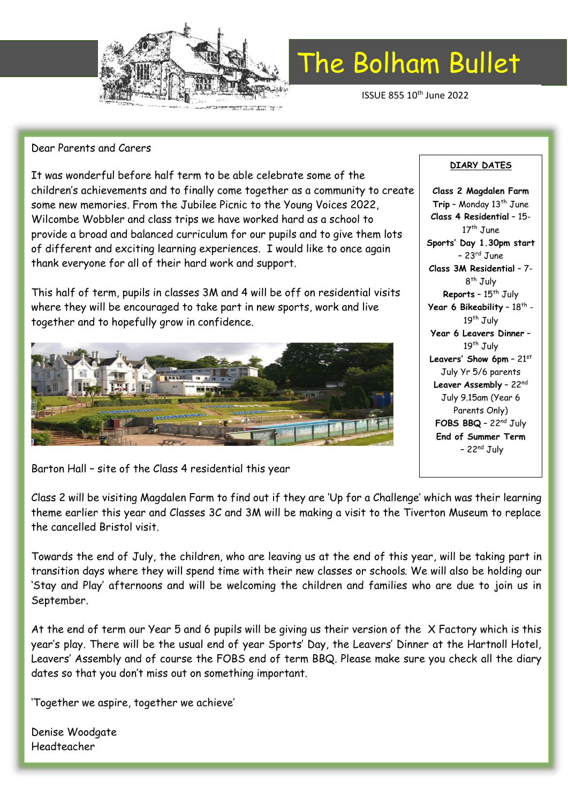

# The Bolham Bullet

ISSUE 855 10th June 2022

## Dear Parents and Carers

It was wonderful before half term to be able celebrate some of the children's achievements and to finally come together as a community to create some new memories. From the Jubilee Picnic to the Young Voices 2022, Wilcombe Wobbler and class trips we have worked hard as a school to provide a broad and balanced curriculum for our pupils and to give them lots of different and exciting learning experiences. I would like to once again thank everyone for all of their hard work and support.

This half of term, pupils in classes 3M and 4 will be off on residential visits where they will be encouraged to take part in new sports, work and live together and to hopefully grow in confidence.



Barton Hall – site of the Class 4 residential this year

Class 2 will be visiting Magdalen Farm to find out if they are 'Up for a Challenge' which was their learning theme earlier this year and Classes 3C and 3M will be making a visit to the Tiverton Museum to replace the cancelled Bristol visit.

Towards the end of July, the children, who are leaving us at the end of this year, will be taking part in transition days where they will spend time with their new classes or schools. We will also be holding our 'Stay and Play' afternoons and will be welcoming the children and families who are due to join us in September.

At the end of term our Year 5 and 6 pupils will be giving us their version of the X Factory which is this year's play. There will be the usual end of year Sports' Day, the Leavers' Dinner at the Hartnoll Hotel, Leavers' Assembly and of course the FOBS end of term BBQ. Please make sure you check all the diary dates so that you don't miss out on something important.

'Together we aspire, together we achieve'

Denise Woodgate Headteacher

# **DIARY DATES**

**Class 2 Magdalen Farm** Trip - Monday 13<sup>th</sup> June **Class 4 Residential** – 15- 17<sup>th</sup> June **Sports' Day 1.30pm start**  $-23$ <sup>rd</sup> June **Class 3M Residential** – 7- 8<sup>th</sup> July **Reports** - 15<sup>th</sup> July **Year 6 Bikeability -**  $18^{\text{th}}$  **-**19<sup>th</sup> July **Year 6 Leavers Dinner** – 19<sup>th</sup> July **Leavers' Show 6pm** – 21st July Yr 5/6 parents **Leaver Assembly** – 22nd July 9.15am (Year 6 Parents Only) **FOBS BBQ** – 22nd July **End of Summer Term**  $-22<sup>nd</sup>$  July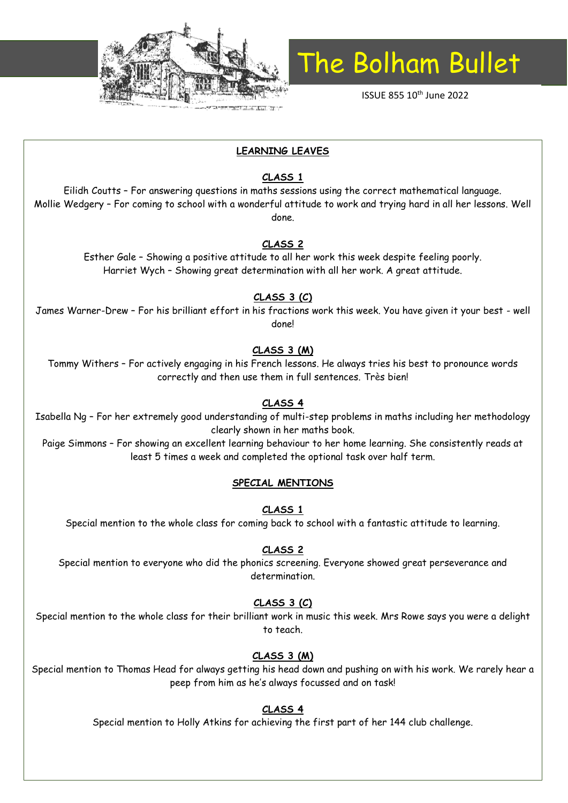

# The Bolham Bullet

ISSUE 855 10th June 2022

# **LEARNING LEAVES**

# **CLASS 1**

Eilidh Coutts – For answering questions in maths sessions using the correct mathematical language. Mollie Wedgery – For coming to school with a wonderful attitude to work and trying hard in all her lessons. Well done.

## **CLASS 2**

Esther Gale – Showing a positive attitude to all her work this week despite feeling poorly. Harriet Wych – Showing great determination with all her work. A great attitude.

# **CLASS 3 (C)**

James Warner-Drew – For his brilliant effort in his fractions work this week. You have given it your best - well done!

#### **CLASS 3 (M)**

Tommy Withers – For actively engaging in his French lessons. He always tries his best to pronounce words correctly and then use them in full sentences. Très bien!

## **CLASS 4**

Isabella Ng – For her extremely good understanding of multi-step problems in maths including her methodology clearly shown in her maths book.

Paige Simmons – For showing an excellent learning behaviour to her home learning. She consistently reads at least 5 times a week and completed the optional task over half term.

#### **SPECIAL MENTIONS**

**CLASS 1**

Special mention to the whole class for coming back to school with a fantastic attitude to learning.

#### **CLASS 2**

Special mention to everyone who did the phonics screening. Everyone showed great perseverance and determination.

## **CLASS 3 (C)**

Special mention to the whole class for their brilliant work in music this week. Mrs Rowe says you were a delight to teach.

## **CLASS 3 (M)**

Special mention to Thomas Head for always getting his head down and pushing on with his work. We rarely hear a peep from him as he's always focussed and on task!

## **CLASS 4**

Special mention to Holly Atkins for achieving the first part of her 144 club challenge.